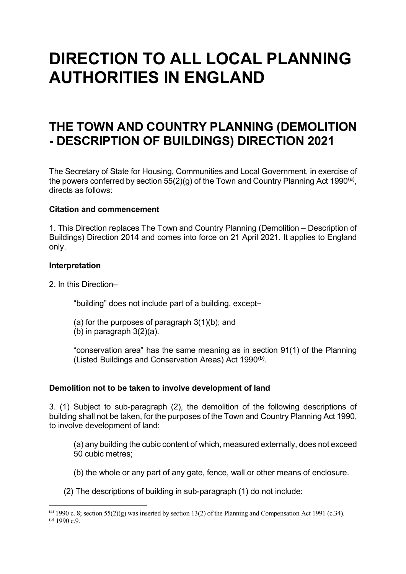# **DIRECTION TO ALL LOCAL PLANNING AUTHORITIES IN ENGLAND**

## **THE TOWN AND COUNTRY PLANNING (DEMOLITION - DESCRIPTION OF BUILDINGS) DIRECTION 2021**

The Secretary of State for Housing, Communities and Local Government, in exercise of the powers conferred by section 55(2)(g) of the Town and Country Planning Act 1990<sup>(a)</sup>, directs as follows:

### **Citation and commencement**

1. This Direction replaces The Town and Country Planning (Demolition – Description of Buildings) Direction 2014 and comes into force on 21 April 2021. It applies to England only.

#### **Interpretation**

2. In this Direction–

"building" does not include part of a building, except−

- (a) for the purposes of paragraph 3(1)(b); and
- (b) in paragraph 3(2)(a).

"conservation area" has the same meaning as in section 91(1) of the Planning (Listed Buildings and Conservation Areas) Act  $1990^{(b)}$ .

#### **Demolition not to be taken to involve development of land**

3. (1) Subject to sub-paragraph (2), the demolition of the following descriptions of building shall not be taken, for the purposes of the Town and Country Planning Act 1990, to involve development of land:

(a) any building the cubic content of which, measured externally, does not exceed 50 cubic metres;

(b) the whole or any part of any gate, fence, wall or other means of enclosure.

(2) The descriptions of building in sub-paragraph (1) do not include:

<span id="page-0-1"></span><span id="page-0-0"></span><sup>(</sup>a) 1990 c. 8; section  $55(2)(g)$  was inserted by section 13(2) of the Planning and Compensation Act 1991 (c.34). (b)  $1990 c.9$